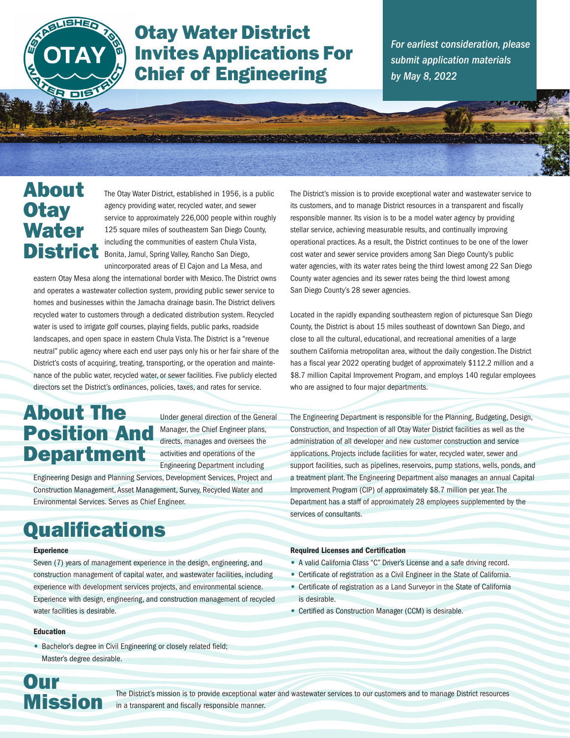

## Otay Water District Invites Applications For Chief of Engineering

*For earliest consideration, please submit application materials by May 8, 2022*

## About **Otay Water** District

The Otay Water District, established in 1956, is a public agency providing water, recycled water, and sewer service to approximately 226,000 people within roughly 125 square miles of southeastern San Diego County, including the communities of eastern Chula Vista, Bonita, Jamul, Spring Valley, Rancho San Diego, unincorporated areas of El Cajon and La Mesa, and

eastern Otay Mesa along the international border with Mexico. The District owns and operates a wastewater collection system, providing public sewer service to homes and businesses within the Jamacha drainage basin. The District delivers recycled water to customers through a dedicated distribution system. Recycled water is used to irrigate golf courses, playing fields, public parks, roadside landscapes, and open space in eastern Chula Vista. The District is a "revenue neutral" public agency where each end user pays only his or her fair share of the District's costs of acquiring, treating, transporting, or the operation and maintenance of the public water, recycled water, or sewer facilities. Five publicly elected directors set the District's ordinances, policies, taxes, and rates for service.

# About The Position And Department

Under general direction of the General Manager, the Chief Engineer plans, directs, manages and oversees the activities and operations of the Engineering Department including

Engineering Design and Planning Services, Development Services, Project and Construction Management, Asset Management, Survey, Recycled Water and Environmental Services. Serves as Chief Engineer.

# **Qualifications**

#### **Experience**

Seven (7) years of management experience in the design, engineering, and construction management of capital water, and wastewater facilities, including experience with development services projects, and environmental science. Experience with design, engineering, and construction management of recycled water facilities is desirable.

#### Education

• Bachelor's degree in Civil Engineering or closely related field; Master's degree desirable.

The District's mission is to provide exceptional water and wastewater service to its customers, and to manage District resources in a transparent and fiscally responsible manner. Its vision is to be a model water agency by providing stellar service, achieving measurable results, and continually improving operational practices. As a result, the District continues to be one of the lower cost water and sewer service providers among San Diego County's public water agencies, with its water rates being the third lowest among 22 San Diego County water agencies and its sewer rates being the third lowest among San Diego County's 28 sewer agencies.

Located in the rapidly expanding southeastern region of picturesque San Diego County, the District is about 15 miles southeast of downtown San Diego, and close to all the cultural, educational, and recreational amenities of a large southern California metropolitan area, without the daily congestion. The District has a fiscal year 2022 operating budget of approximately \$112.2 million and a \$8.7 million Capital Improvement Program, and employs 140 regular employees who are assigned to four major departments.

The Engineering Department is responsible for the Planning, Budgeting, Design, Construction, and Inspection of all Otay Water District facilities as well as the administration of all developer and new customer construction and service applications. Projects include facilities for water, recycled water, sewer and support facilities, such as pipelines, reservoirs, pump stations, wells, ponds, and a treatment plant. The Engineering Department also manages an annual Capital Improvement Program (CIP) of approximately \$8.7 million per year. The Department has a staff of approximately 28 employees supplemented by the services of consultants.

#### **Required Licenses and Certification**

- A valid California Class "C" Driver's License and a safe driving record.
- Certificate of registration as a Civil Engineer in the State of California.
- Certificate of registration as a Land Surveyor in the State of California is desirable.
- Certified as Construction Manager (CCM) is desirable.

Our Mission

The District's mission is to provide exceptional water and wastewater services to our customers and to manage District resources in a transparent and fiscally responsible manner.